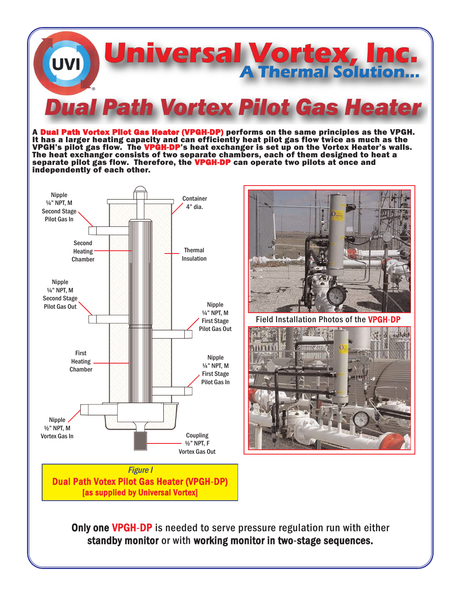

A Dual Path Vortex Pliot Gas Heater (VPGH-DP) performs on the same principles as the VPGH. It has a larger heating capacity and can efficiently heat pilot gas flow twice as much as the VPGH's pilot gas flow. The VPGH-DP's heat exchanger is set up on the Vortex Heater's walls. The heat exchanger consists of two separate chambers, each of them designed to heat a separate pilot gas flow. Therefore, the VPGH-DP can operate two pilots at once and independently of each other.





Field Installation Photos of the VPGH-DP



**Only one VPGH-DP** is needed to serve pressure regulation run with either standby monitor or with working monitor in two-stage sequences.